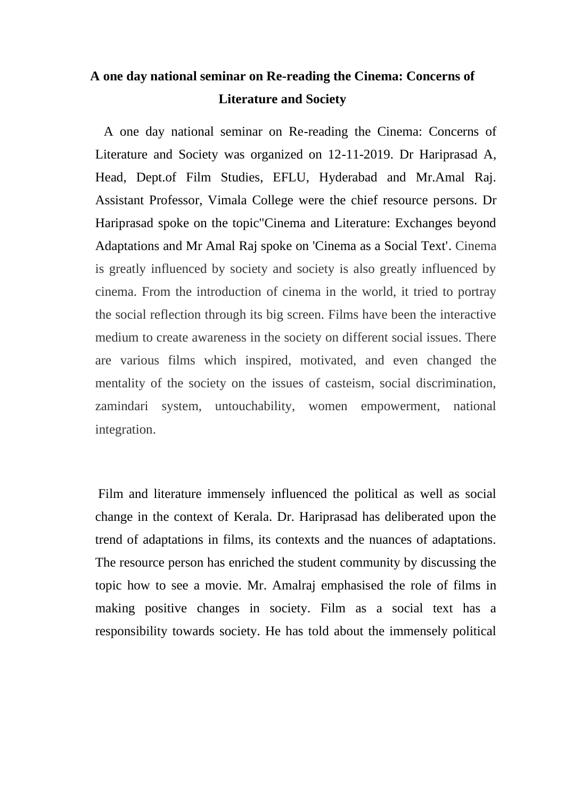## **A one day national seminar on Re-reading the Cinema: Concerns of Literature and Society**

 A one day national seminar on Re-reading the Cinema: Concerns of Literature and Society was organized on 12-11-2019. Dr Hariprasad A, Head, Dept.of Film Studies, EFLU, Hyderabad and Mr.Amal Raj. Assistant Professor, Vimala College were the chief resource persons. Dr Hariprasad spoke on the topic"Cinema and Literature: Exchanges beyond Adaptations and Mr Amal Raj spoke on 'Cinema as a Social Text'. Cinema is greatly influenced by society and society is also greatly influenced by cinema. From the introduction of cinema in the world, it tried to portray the social reflection through its big screen. Films have been the interactive medium to create awareness in the society on different social issues. There are various films which inspired, motivated, and even changed the mentality of the society on the issues of casteism, social discrimination, zamindari system, untouchability, women empowerment, national integration.

 Film and literature immensely influenced the political as well as social change in the context of Kerala. Dr. Hariprasad has deliberated upon the trend of adaptations in films, its contexts and the nuances of adaptations. The resource person has enriched the student community by discussing the topic how to see a movie. Mr. Amalraj emphasised the role of films in making positive changes in society. Film as a social text has a responsibility towards society. He has told about the immensely political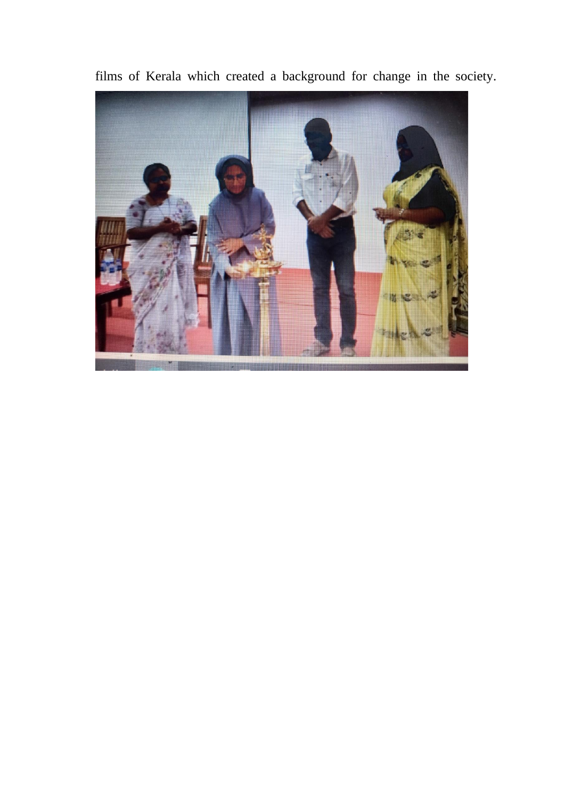

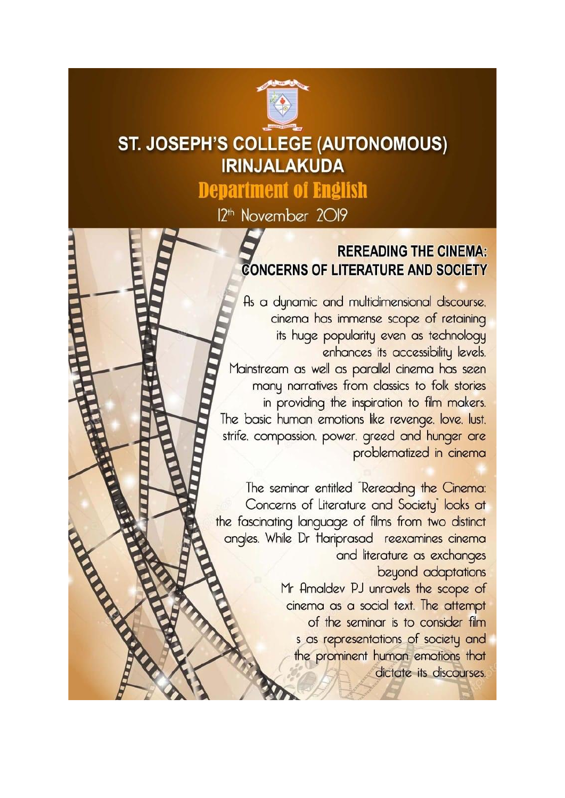

## **ST. JOSEPH'S COLLEGE (AUTONOMOUS) IRINJALAKUDA**

**Department of English** 

12<sup>th</sup> November 2019

## **REREADING THE CINEMA: CONCERNS OF LITERATURE AND SOCIETY**

As a dynamic and multidimensional discourse. cinema has immense scope of retaining its huge popularity even as technology enhances its accessibility levels. Mainstream as well as parallel cinema has seen many narratives from classics to folk stories in providing the inspiration to film makers. The basic human emotions like revenge. love. lust. strife, compassion, power, greed and hunger are problematized in cinema

The seminar entitled "Rereading the Cinema: Concerns of Literature and Society<sup>"</sup> looks at the fascinating language of films from two distinct angles. While Dr Hariprasad reexamines cinema and literature as exchanges beyond adaptations Mr Amaldev PJ unravels the scope of cinema as a social text. The attempt of the seminar is to consider film s as representations of society and the prominent human emotions that dictate its discourses.